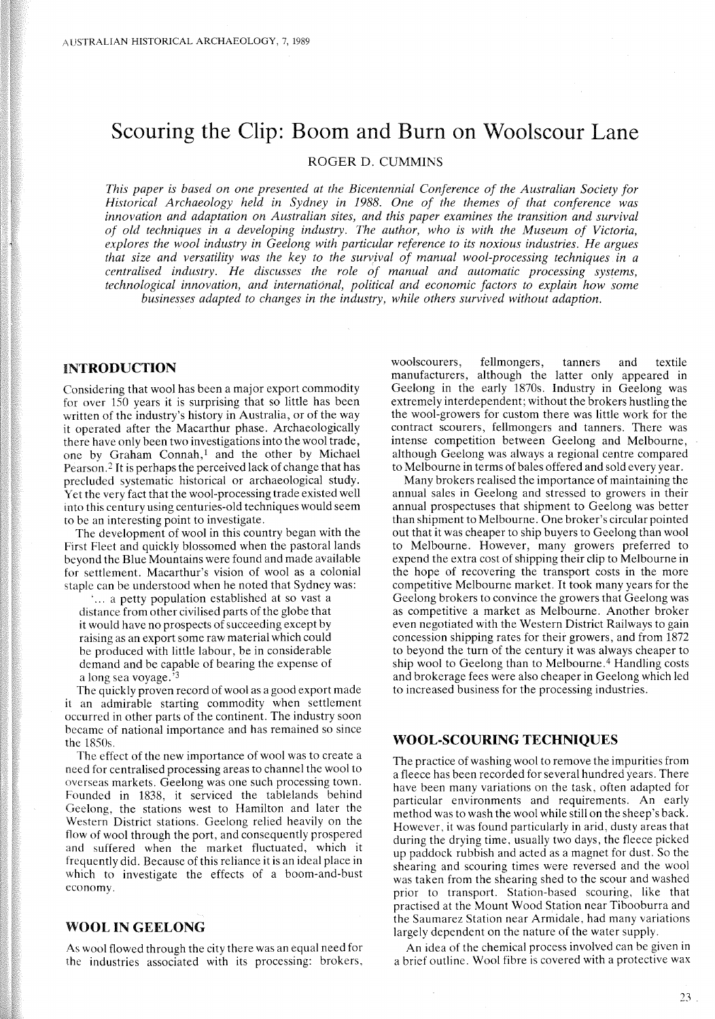# **Scouring the Clip: Boom and Burn on Wooiscour Lane**

ROGER D. CUMMINS

*This paper is based on one presented at the Bicentennial Conference of the Australian Society for Historical Archaeology held in Sydney in* 1988. *One of the themes of that conference was innovation and adaptation on Australian sites, and this paper examines the transition and survival of old techniques in a developing industry. The author, who is with the Museum of Victoria, explores the wool industry in Geelong with particular reference to its noxious industries. He argues that size and versatility was the key to the survival of manual wool-processing techniques in a centralised industry. He discusses the role of manual and automatic processing systems, technological innovation, and international, political and economic factors to explain how some businesses adapted to changes in the industry, while others survived without adaption.*

# **INTRODUCTION**

Considering that wool has been a major export commodity for over 150 years it is surprising that so little has been written of the industry's history in Australia, or of the way it operated after the Macarthur phase. Archaeologically there have only been two investigations into the wool trade, one by Graham Connah,1 and the other by Michael Pearson. <sup>2</sup> It is perhaps the perceived lack of change that has precluded systematic historical or archaeological study. Yet the very fact that the wool-processing trade existed well into this century using centuries-old techniques would seem to be an interesting point to investigate.

The development of wool in this country began with the First Fleet and quickly blossomed when the pastoral lands beyond the Blue Mountains were found and made available for settlement. Macarthur's vision of wool as a colonial staple can be understood when he noted that Sydney was:

... a petty population established at so vast a distance from other civilised parts of the globe that it would have no prospects of succeeding except by raising as an export some raw material which could be produced with little labour, be in considerable demand and be capable of bearing the expense of a long sea voyage.'3

The quickly proven record of wool as a good export made it an admirable starting commodity when settlement occurred in other parts of the continent. The industry soon became of national importance and has remained so since the 1850s.

The effect of the new importance of wool was to create a need for centralised processing areas to channel the wool to overseas markets. Geelong was one such processing town. Founded in 1838, it serviced the tablelands behind Geelong, the stations west to Hamilton and later the Western District stations. Geelong relied heavily on the flow of wool through the port, and consequently prospered and suffered when the market fluctuated, which it frequently did. Because of this reliance it is an ideal place in which to investigate the effects of a boom-and-bust economy.

## **WOOL IN GEELONG**

As wool flowed through the city there was an equal need for the industries associated with its processing: brokers, woolscourers, fellmongers, tanners and textile manufacturers, although the latter only appeared in Geelong in the early 1870s. Industry in Geelong was extremely interdependent; without the brokers hustling the the wool-growers for custom there was little work for the contract scourers, fellmongers and tanners. There was intense competition between Geelong and Melbourne, although Geelong was always a regional centre compared to Melbourne in terms of bales offered and sold every year.

Many brokers realised the importance of maintaining the annual sales in Geelong and stressed to growers in their annual prospectuses that shipment to Geelong was better than shipment to Melbourne. One broker's circular pointed out that it was cheaper to ship buyers to Geelong than wool to Melbourne. However, many growers preferred to expend the extra cost of shipping their clip to Melbourne in the hope of recovering the transport costs in the more competitive Melbourne market. It took many years for the Geelong brokers to convince the growers that Geelong was as competitive a market as Melbourne. Another broker even negotiated with the Western District Railways to gain concession shipping rates for their growers, and from 1872 to beyond the turn of the century it was always cheaper to ship wool to Geelong than to Melbourne.<sup>4</sup> Handling costs and brokerage fees were also cheaper in Geelong which led to increased business for the processing industries.

## **WOOL-SCOURING TECHNIQUES**

The practice of washing wool to remove the impurities from a fleece has been recorded for several hundred years. There have been many variations on the task, often adapted for particular environments and requirements. An early method was to wash the wool while still on the sheep's back. However, it was found particularly in arid, dusty areas that during the drying time, usually two days, the fleece picked up paddock rubbish and acted as a magnet for dust. So the shearing and scouring times were reversed and the wool was taken from the shearing shed to the scour and washed prior to transport. Station-based scouring, like that practised at the Mount Wood Station near Tibooburra and the Saumarez Station near Armidale, had many variations largely dependent on the nature of the water supply.

An idea of the chemical process involved can be given in a brief outline. Wool fibre is covered with a protective wax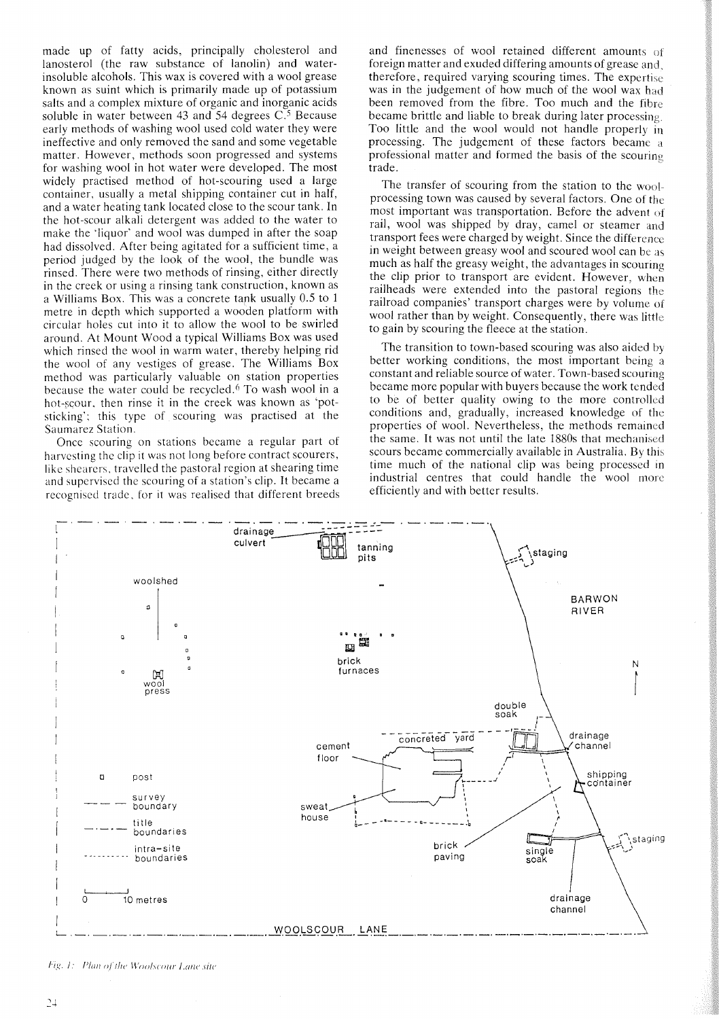made up of fatty acids, principally cholesterol and lanosterol (the raw substance of lanolin) and waterinsoluble alcohols. This wax is covered with a wool grease known as suint which is primarily made up of potassium salts and a complex mixture of organic and inorganic acids soluble in water between 43 and 54 degrees  $C<sup>5</sup>$  Because early methods of washing wool used cold water they were ineffective and only removed the sand and some vegetable matter. However, methods soon progressed and systems for washing wool in hot water were developed. The most widely practised method of hot-scouring used a large container, usually a metal shipping container cut in half, and a water heating tank located close to the scour tank. In the hot-scour alkali detergent was added to the water to make the 'liquor' and wool was dumped in after the soap had dissolved. After being agitated for a sufficient time, a period judged by the look of the wool, the bundle was rinsed. There were two methods of rinsing, either directly in the creek or using a rinsing tank construction, known as a Williams Box. This was a concrete tank usually 0.5 to 1 metre in depth which supported a wooden platform with circular holes cut into it to allow the wool to be swirled around. At Mount Wood a typical Williams Box was used which rinsed the wool in warm water, thereby helping rid the wool of any vestiges of grease. The Williams Box method was particularly valuable on station properties because the water could be recycled. <sup>6</sup> To wash wool in a hot-scour. then rinse it in the creek was known as 'potsticking'; this type of scouring was practised at the Saumarez Station.

Once scouring on stations became a regular part of harvesting the clip it was not long before contract scourers, like shearers, travelled the pastoral region at shearing time and supervised the scouring of a station's clip. It became a recognised trade. for it was realised that different breeds and finenesses of wool retained different amounts of foreign matter and exuded differing amounts of grease and, therefore, required varying scouring times. The expertise was in the judgement of how much of the wool wax had been removed from the fibre. Too much and the fibre became brittle and liable to break during later processing. Too little and the wool would not handle properly in processing. The judgement of these factors became a professional matter and formed the basis of the scouring trade.

The transfer of scouring from the station to the woolprocessing town was caused by several factors. One of the most important was transportation. Before the advent of rail, wool was shipped by dray, camel or steamer and transport fees were charged by weight. Since the difference in weight between greasy wool and scoured wool can be as much as half the greasy weight, the advantages in scouring the clip prior to transport are evident. However, when railheads were extended into the pastoral regions the railroad companies' transport charges were by volume of wool rather than by weight. Consequently, there was little to gain by scouring the fleece at the station.

The transition to town-based scouring was also aided by better working conditions, the most important being a constant and reliable source of water. Town-based scouring became more popular with buyers because the work tended to be of better quality owing to the more controlled conditions and, gradually, increased knowledge of the properties of wool. Nevertheless, the methods remained the same. It was not until the late 1880s that mechanised scours became commercially available in Australia. By this time much of the national clip was being processed in industrial centres that could handle the wool more efficiently and with better results.



Fig. 1: Plan of the Woolscour Lane site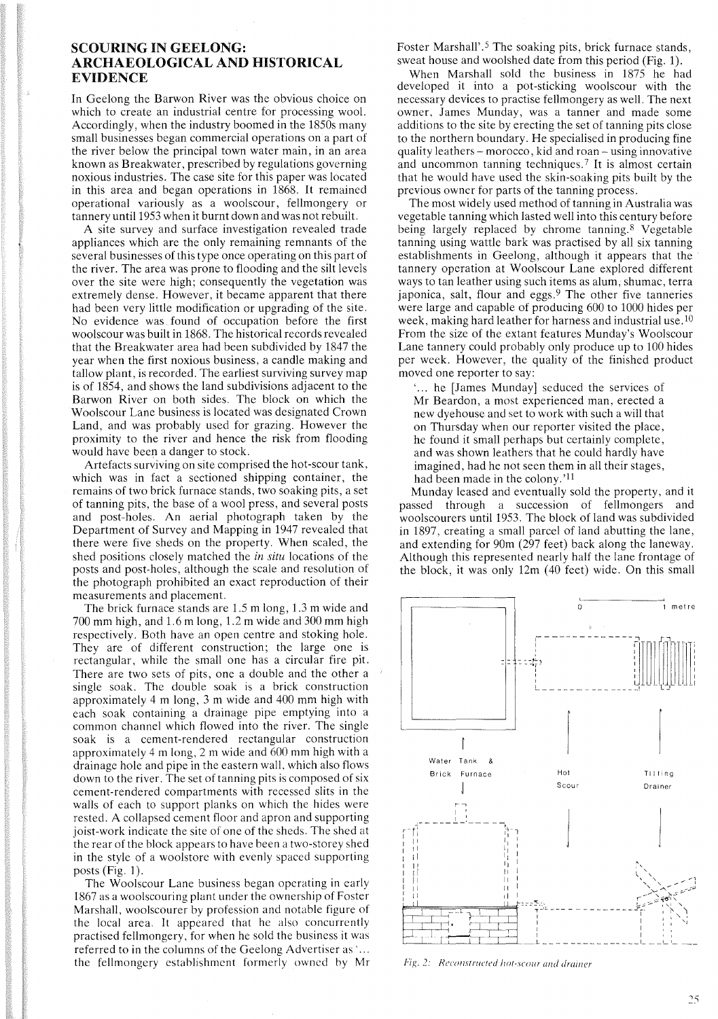# SCOURING IN GEELONG: ARCHAEOLOGICAL AND HISTORICAL EVIDENCE

In Geelong the Barwon River was the obvious choice on which to create an industrial centre for processing wool. Accordingly, when the industry boomed in the 1850s many small businesses began commercial operations on a part of the river below the principal town water main, in an area known as Breakwater, prescribed by regulations governing noxious industries. The case site for this paper was located in this area and began operations in 1868. It remained operational variously as a woolscour, fellmongery or tannery until 1953 when it burnt down and was not rebuilt.

A site survey and surface investigation revealed trade appliances which are the only remaining remnants of the several businesses of this type once operating on this part of the river. The area was prone to flooding and the silt levels over the site were high; consequently the vegetation was extremely dense. However, it became apparent that there had been very little modification or upgrading of the site. No evidence was found of occupation before the first woolscour was built in 1868. The historical records revealed that the Breakwater area had been subdivided by 1847 the year when the first noxious business, a candle making and tallow plant, is recorded. The earliest surviving survey map is of 1854, and shows the land subdivisions adjacent to the Barwon River on both sides. The block on which the Woolscour Lane business is located was designated Crown Land, and was probably used for grazing. However the proximity to the river and hence the risk from flooding would have been a danger to stock.

Artefacts surviving on site comprised the hot-scour tank, which was in fact a sectioned shipping container, the remains of two brick furnace stands, two soaking pits, a set of tanning pits, the base of a wool press, and several posts and post-holes. An aerial photograph taken by the Department of Survey and Mapping in 1947 revealed that there were five sheds on the property. When scaled, the shed positions closely matched the *in situ* locations of the posts and post-holes, although the scale and resolution of the photograph prohibited an exact reproduction of their measurements and placement.

The brick furnace stands are 1.5 m long, 1.3 m wide and 700 mm high, and 1.6 m long, 1.2 m wide and 300 mm high respectively. Both have an open centre and stoking hole. They are of different construction; the large one is rectangular, while the small one has a circular fire pit. There are two sets of pits, one a double and the other a single soak. The double soak is a brick construction approximately 4 m long, 3 m wide and 400 mm high with each soak containing a drainage pipe emptying into a common channel which flowed into the river. The single soak is a cement-rendered rectangular construction approximately 4 m long, 2 m wide and 600 mm high with a drainage hole and pipe in the eastern wall, which also flows down to the river. The set of tanning pits is composed of six cement-rendered compartments with recessed slits in the walls of each to support planks on which the hides were rested. A collapsed cement floor and apron and supporting joist-work indicate the site of one of the sheds. The shed at the rear of the block appears to have been a two-storey shed in the style of a woolstore with evenly spaced supporting posts (Fig. 1).

The Woolscour Lane business began operating in early 1867 as a woolscouring plant under the ownership of Foster Marshall, woolscourer by profession and notable figure of the local area. It appeared that he also concurrently practised fellmongery, for when he sold the business it was referred to in the columns of the Geelong Advertiser as .... the fellmongery establishment formerly owned by Mr Foster Marshall'.<sup>5</sup> The soaking pits, brick furnace stands, sweat house and woolshed date from this period (Fig. 1).

When Marshall sold the business in 1875 he had developed it into a pot-sticking woolscour with the necessary devices to practise fellmongery as well. The next owner, James Munday, was a tanner and made some additions to the site by erecting the set of tanning pits close to the northern boundary. He specialised in producing fine quality leathers - morocco, kid and roan - using innovative and uncommon tanning techniques.<sup>7</sup> It is almost certain that he would have used the skin-soaking pits built by the previous owner for parts of the tanning process.

The most widely used method of tanning in Australia was vegetable tanning which lasted well into this century before being largely replaced by chrome tanning.<sup>8</sup> Vegetable tanning using wattle bark was practised by all six tanning establishments in Geelong, although it appears that the tannery operation at Woolscour Lane explored different ways to tan leather using such items as alum, shumac, terra japonica, salt, flour and eggs.<sup>9</sup> The other five tanneries were large and capable of producing 600 to 1000 hides per week, making hard leather for harness and industrial use.  $10$ From the size of the extant features Munday's Woolscour Lane tannery could probably only produce up to 100 hides per week. However, the quality of the finished product moved one reporter to say:

... he [James Munday] seduced the services of Mr Beardon, a most experienced man, erected a new dyehouse and set to work with such a will that on Thursday when our reporter visited the place, he found it small perhaps but certainly complete, and was shown leathers that he could hardly have imagined, had he not seen them in all their stages, had been made in the colony.'ll

Munday leased and eventually sold the property, and it passed through a succession of fellmongers and woolscourers until 1953. The block of land was subdivided in 1897, creating a small parcel of land abutting the lane, and extending for 90m (297 feet) back along the laneway. Although this represented nearly half the lane frontage of the block, it was only 12m (40 feet) wide. On this small



Fig. 2: Reconstructed hot-scour and drainer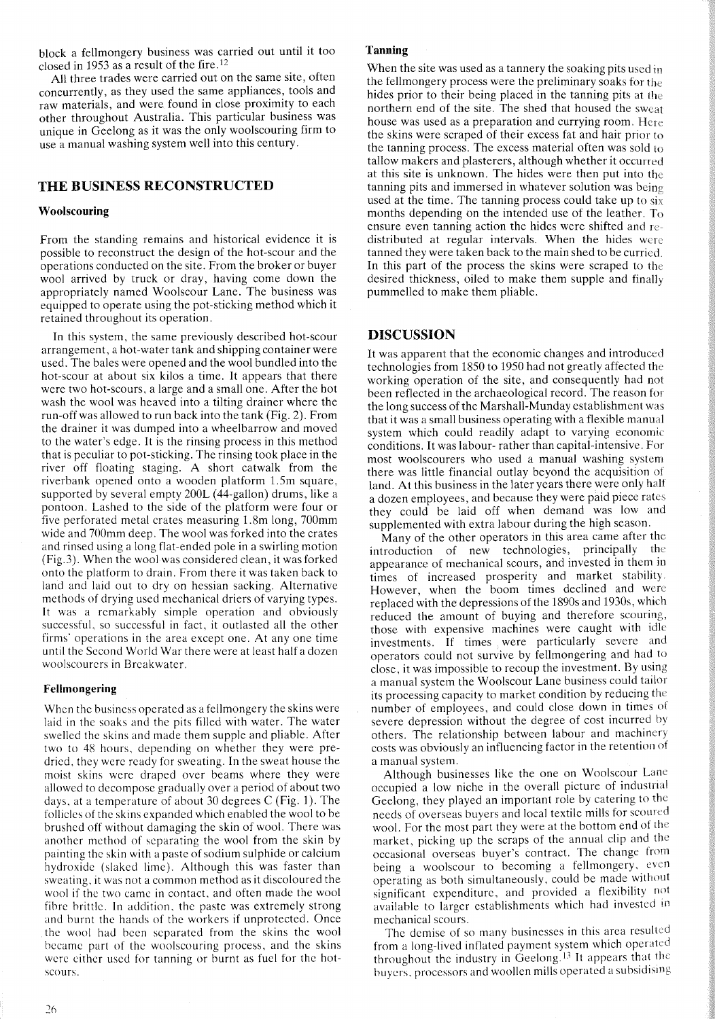block a fellmongery business was carried out until it too closed in 1953 as a result of the fire. <sup>12</sup>

All three trades were carried out on the same site, often concurrently, as they used the same appliances, tools and raw materials, and were found in close proximity to each other throughout Australia. This particular business was unique in Geelong as it was the only woolscouring firm to use a manual washing system well into this century.

## **THE BUSINESS RECONSTRUCTED**

#### **Woolscouring**

From the standing remains and historical evidence it is possible to reconstruct the design of the hot-scour and the operations conducted on the site. From the broker or buyer wool arrived by truck or dray, having come down the appropriately named Woolscour Lane. The business was equipped to operate using the pot-sticking method which it retained throughout its operation.

In this system, the same previously described hot-scour arrangement, a hot-water tank and shipping container were used. The bales were opened and the wool bundled into the hot-scour at about six kilos a time. It appears that there were two hot-scours, a large and a small one. After the hot wash the wool was heaved into a tilting drainer where the run-off was allowed to run back into the tank (Fig. 2). From the drainer it was dumped into a wheelbarrow and moved to the water's edge. It is the rinsing process in this method that is peculiar to pot-sticking. The rinsing took place in the river off floating staging. A short catwalk from the riverbank opened onto a wooden platform 1.5m square, supported by several empty 200L (44-gallon) drums, like a pontoon. Lashed to the side of the platform were four or five perforated metal crates measuring 1.8m long, 700mm wide and 700mm deep. The wool was forked into the crates and rinsed using a long flat-ended pole in a swirling motion (Fig.3). When the wool was considered clean, it was forked onto the platform to drain. From there it was taken back to land and laid out to dry on hessian sacking. Alternative methods of drying used mechanical driers of varying types. It was a remarkably simple operation and obviously successful, so successful in fact, it outlasted all the other firms' operations in the area except one. At anyone time until the Second World War there were at least half a dozen woolscourers in Breakwater.

#### **Fellmongering**

Whcn the business operated as a fellmongery the skins were laid in thc soaks and the pits filled with water. The water swelled the skins and made them supple and pliable. After two to 48 hours, depending on whether they were predried, they were ready for sweating. In the sweat house the moist skins were draped over beams where they were allowed to decompose gradually over a period of about two days, at a temperature of about 30 degrees C (Fig. 1). The follicles of the skins expanded which enabled the wool to be brushed off without damaging the skin of wool. There was another method of separating the wool from the skin by painting the skin with a paste of sodium sulphide or calcium hydroxide (slaked lime). Although this was faster than sweating. it was not a common method as it discoloured the wool if the two came in contact, and often made the wool fibre brittle. In addition, the paste was extremely strong and burnt the hands of the workers if unprotected. Once the wool had been separated from the skins the wool became part of the woolscouring process, and the skins were either used for tanning or burnt as fuel for the hotscours.

#### **Tanning**

When the site was used as a tannery the soaking pits used in the fellmongery process were the preliminary soaks for the hides prior to their being placed in the tanning pits at the northern end of the site. The shed that housed the sweat house was used as a preparation and currying room. Here the skins were scraped of their excess fat and hair prior to the tanning process. The excess material often was sold to tallow makers and plasterers, although whether it occurred at this site is unknown. The hides were then put into the tanning pits and immersed in whatever solution was being used at the time. The tanning process could take up to  $si_X$ months depending on the intended use of the leather. To ensure even tanning action the hides were shifted and redistributed at regular intervals. When the hides were tanned they were taken back to the main shed to be curried. In this part of the process the skins were scraped to the desired thickness, oiled to make them supple and finally pummelled to make them pliable.

#### **DISCUSSION**

It was apparent that the economic changes and introduced technologies from 1850 to 1950 had not greatly affected the working operation of the site, and consequently had not been reflected in the archaeological record. The reason for the long success of the Marshall-Munday establishment was that it was a small business operating with a flexible manual system which could readily adapt to varying economic conditions. It was labour- rather than capital-intensive. For most woolscourers who used a manual washing system there was little financial outlay beyond the acquisition of land. At this business in the later years there were only half a dozen employees, and because they were paid piece rates they could be laid off when demand was low and supplemented with extra labour during the high season.

Many of the other operators in this area came after the introduction of new technologies, principally the appearance of mechanical scours, and invested in them in times of increased prosperity and market stability. However, when the boom times declined and were replaced with the depressions of the 1890s and 1930s, which reduced the amount of buying and therefore scounng, those with expensive machines were caught with idle investments. If times were particularly severe and operators could not survive by fellmongering and had to close, it was impossible to recoup the investment. By using a manual system the Woolscour Lane business could tailor its processing capacity to market condition by reducing the number of employees, and could close down in times ot severe depression without the degree of cost incurred by others. The relationship between labour and machinery costs was obviously an influencing factor in the retention of a manual system.

Although businesses like the one on Woolscour Lane occupied a low niche in the overall picture of industrial Geelong, they played an important role by catering to the needs of overseas buyers and local textile mills for scoured wool. For the most part they were at the bottom end of the market, picking up the scraps of the annual clip and the occasional overseas buyer's contract. The change trom being a woolscour to becoming a fellmongery, even operating as both simultaneously, could be made without significant expenditure, and provided a flexibility not available to larger establishments which had invested in mechanical scours.

The demise of so many businesses in this area resulted from a long-lived inflated payment system which operated throughout the industry in Geelong. <sup>13</sup> It appears that the buyers, processors and woollen mills operated a subsidising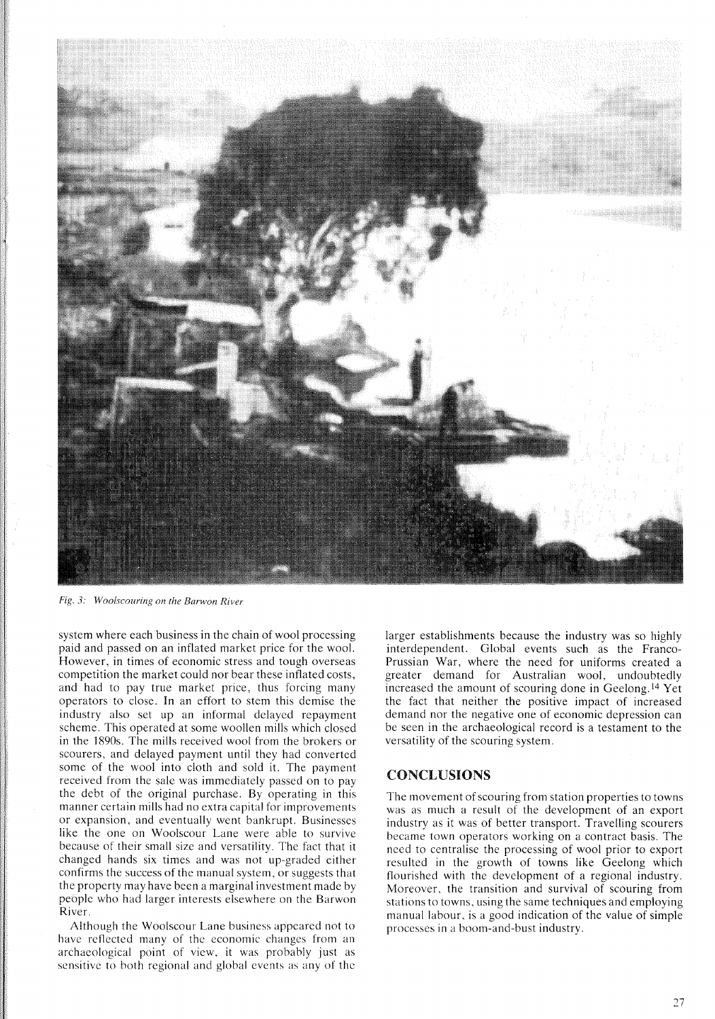

*Fig.* 3: *Woo/scouring on the Barwon River*

system where each business in the chain of wool processing paid and passed on an inflated market price for the wool. However, in times of economic stress and tough overseas competition the market could nor bear these inflated costs, and had to pay true market price, thus forcing many operators to close. **In** an effort to stem this demise the industry also set up an informal delayed repayment scheme. This operated at some woollen mills which closed in the 1890s. The mills received wool from the brokers or scourers, and delayed payment until they had converted some of the wool into cloth and sold it. The payment received from the sale was immediately passed on to pay the debt of the original purchase. By operating in this manner certain mills had no extra capital for improvements or expansion, and eventually went bankrupt. Businesses like the one on Woolscour Lane were able to survive because of their small size and versatility. The fact that it changed hands six times and was not up-graded either confirms the success of the manual system, or suggests that the property may have been a marginal investment made by pebple who had larger interests elsewhere on the Barwon River.

Although the Woolscour Lane business appeared not to have reflected many of the economic changes from an archaeological point of view, it was probably just as sensitive to both regional and global events as any of the

larger establishments because the industry was so highly interdependent. Global events such as the Franco-Prussian War, where the need for uniforms created a greater demand for Australian wool, undoubtedly increased the amount of scouring done in Geelong. <sup>14</sup> Yet the fact that neither the positive impact of increased demand nor the negative one of economic depression can be seen in the archaeological record is a testament to the versatility of the scouring system.

## CONCLUSIONS

The movement of scouring from station properties to towns was as much a result of the development of an export industry as it was of better transport. Travelling scourers became town operators working on a contract basis. The need to centralise the processing of wool prior to export resulted in the growth of towns like Geelong which flourished with the development of a regional industry. Moreover, the transition and survival of scouring from stations to towns, using the same techniques and employing manual labour, is a good indication of the value of simple processes in a boom-and-bust industry.